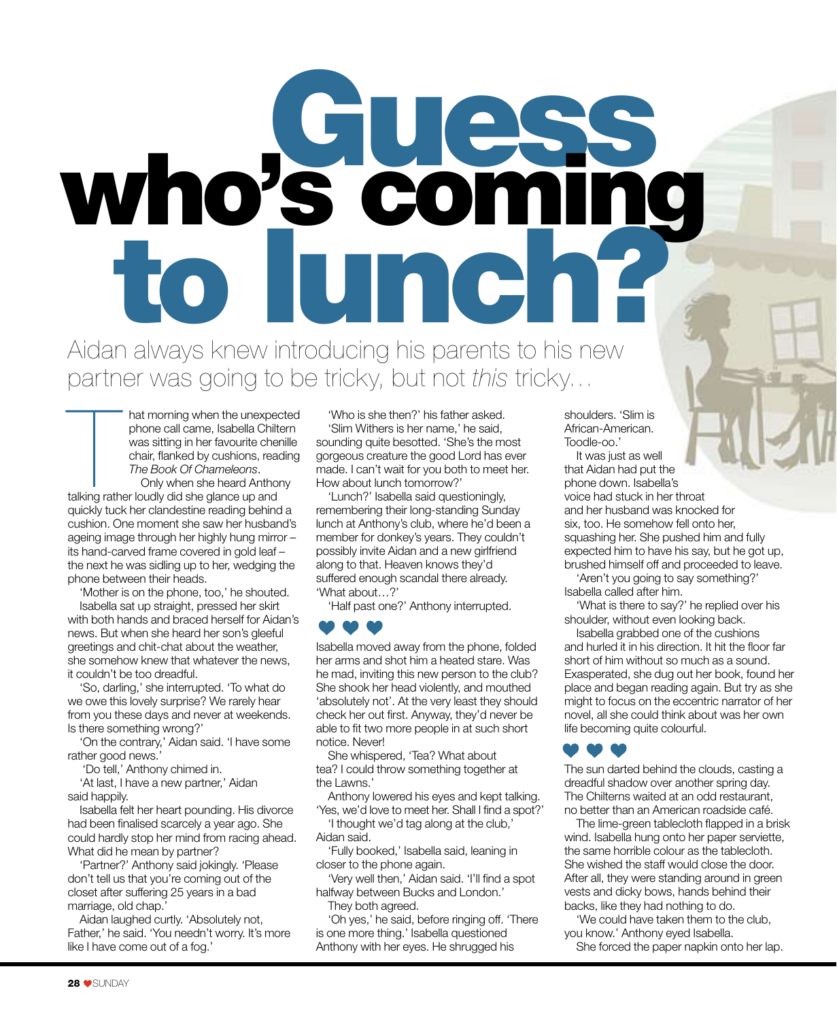# who's coming to lunch?

Aidan always knew introducing his parents to his new partner was going to be tricky, but not this tricky...

hat morning when the unexpect phone call came, Isabella Chilt<br>was sitting in her favourite cherchand was sitting in the favourite cherchand<br>chair, flanked by cushions, read<br>The Book Of Chameleons.<br>Only when she heard Antho hat morning when the unexpected phone call came, Isabella Chiltern was sitting in her favourite chenille chair, flanked by cushions, reading The Book Of Chameleons.

Only when she heard Anthony quickly tuck her clandestine reading behind a cushion. One moment she saw her husband's ageing image through her highly hung mirror – its hand-carved frame covered in gold leaf – the next he was sidling up to her, wedging the phone between their heads.

'Mother is on the phone, too,' he shouted. Isabella sat up straight, pressed her skirt

with both hands and braced herself for Aidan's news. But when she heard her son's gleeful greetings and chit-chat about the weather, she somehow knew that whatever the news, it couldn't be too dreadful.

'So, darling,' she interrupted. 'To what do we owe this lovely surprise? We rarely hear from you these days and never at weekends. Is there something wrong?'

'On the contrary,' Aidan said. 'I have some rather good news.

'Do tell,' Anthony chimed in.

'At last, I have a new partner,' Aidan said happily.

Isabella felt her heart pounding. His divorce had been finalised scarcely a year ago. She could hardly stop her mind from racing ahead. What did he mean by partner?

'Partner?' Anthony said jokingly. 'Please don't tell us that you're coming out of the closet after suffering 25 years in a bad marriage, old chap.'

Aidan laughed curtly. 'Absolutely not, Father,' he said. 'You needn't worry. It's more like I have come out of a fog.'

'Who is she then?' his father asked. 'Slim Withers is her name,' he said, sounding quite besotted. 'She's the most gorgeous creature the good Lord has ever made. I can't wait for you both to meet her. How about lunch tomorrow?'

'Lunch?' Isabella said questioningly, remembering their long-standing Sunday lunch at Anthony's club, where he'd been a member for donkey's years. They couldn't possibly invite Aidan and a new girlfriend along to that. Heaven knows they'd suffered enough scandal there already. 'What about…?'

'Half past one?' Anthony interrupted.

Isabella moved away from the phone, folded her arms and shot him a heated stare. Was he mad, inviting this new person to the club? She shook her head violently, and mouthed 'absolutely not'. At the very least they should check her out first. Anyway, they'd never be able to fit two more people in at such short notice. Never!

She whispered, 'Tea? What about tea? I could throw something together at the Lawns.'

Anthony lowered his eyes and kept talking. 'Yes, we'd love to meet her. Shall I find a spot?'

'I thought we'd tag along at the club,' Aidan said.

'Fully booked,' Isabella said, leaning in closer to the phone again.

'Very well then,' Aidan said. 'I'll find a spot halfway between Bucks and London.'

They both agreed.

'Oh yes,' he said, before ringing off. 'There is one more thing.' Isabella questioned Anthony with her eyes. He shrugged his

shoulders. 'Slim is African-American. Toodle-oo.'

It was just as well that Aidan had put the phone down. Isabella's voice had stuck in her throat and her husband was knocked for six, too. He somehow fell onto her, squashing her. She pushed him and fully expected him to have his say, but he got up, brushed himself off and proceeded to leave.

'Aren't you going to say something?' Isabella called after him.

'What is there to say?' he replied over his shoulder, without even looking back.

Isabella grabbed one of the cushions and hurled it in his direction. It hit the floor far short of him without so much as a sound. Exasperated, she dug out her book, found her place and began reading again. But try as she might to focus on the eccentric narrator of her novel, all she could think about was her own life becoming quite colourful.

The sun darted behind the clouds, casting a dreadful shadow over another spring day. The Chilterns waited at an odd restaurant, no better than an American roadside café.

The lime-green tablecloth flapped in a brisk wind. Isabella hung onto her paper serviette, the same horrible colour as the tablecloth. She wished the staff would close the door. After all, they were standing around in green vests and dicky bows, hands behind their backs, like they had nothing to do.

'We could have taken them to the club, you know.' Anthony eyed Isabella.

She forced the paper napkin onto her lap.